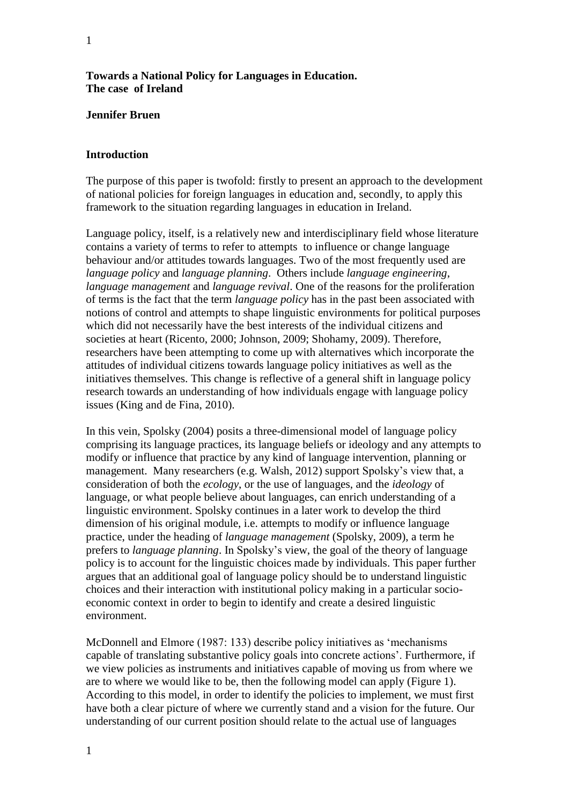### **Towards a National Policy for Languages in Education. The case of Ireland**

#### **Jennifer Bruen**

#### **Introduction**

The purpose of this paper is twofold: firstly to present an approach to the development of national policies for foreign languages in education and, secondly, to apply this framework to the situation regarding languages in education in Ireland.

Language policy, itself, is a relatively new and interdisciplinary field whose literature contains a variety of terms to refer to attempts to influence or change language behaviour and/or attitudes towards languages. Two of the most frequently used are *language policy* and *language planning*. Others include *language engineering*, *language management* and *language revival*. One of the reasons for the proliferation of terms is the fact that the term *language policy* has in the past been associated with notions of control and attempts to shape linguistic environments for political purposes which did not necessarily have the best interests of the individual citizens and societies at heart (Ricento, 2000; Johnson, 2009; Shohamy, 2009). Therefore, researchers have been attempting to come up with alternatives which incorporate the attitudes of individual citizens towards language policy initiatives as well as the initiatives themselves. This change is reflective of a general shift in language policy research towards an understanding of how individuals engage with language policy issues (King and de Fina, 2010).

In this vein, Spolsky (2004) posits a three-dimensional model of language policy comprising its language practices, its language beliefs or ideology and any attempts to modify or influence that practice by any kind of language intervention, planning or management. Many researchers (e.g. Walsh, 2012) support Spolsky's view that, a consideration of both the *ecology*, or the use of languages, and the *ideology* of language, or what people believe about languages, can enrich understanding of a linguistic environment. Spolsky continues in a later work to develop the third dimension of his original module, i.e. attempts to modify or influence language practice, under the heading of *language management* (Spolsky, 2009), a term he prefers to *language planning*. In Spolsky's view, the goal of the theory of language policy is to account for the linguistic choices made by individuals. This paper further argues that an additional goal of language policy should be to understand linguistic choices and their interaction with institutional policy making in a particular socioeconomic context in order to begin to identify and create a desired linguistic environment.

McDonnell and Elmore (1987: 133) describe policy initiatives as 'mechanisms capable of translating substantive policy goals into concrete actions'. Furthermore, if we view policies as instruments and initiatives capable of moving us from where we are to where we would like to be, then the following model can apply (Figure 1). According to this model, in order to identify the policies to implement, we must first have both a clear picture of where we currently stand and a vision for the future. Our understanding of our current position should relate to the actual use of languages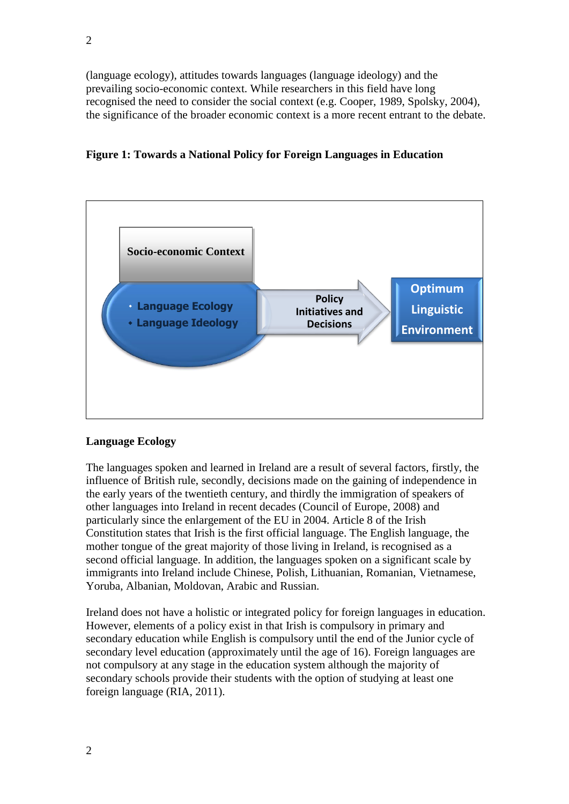(language ecology), attitudes towards languages (language ideology) and the prevailing socio-economic context. While researchers in this field have long recognised the need to consider the social context (e.g. Cooper, 1989, Spolsky, 2004), the significance of the broader economic context is a more recent entrant to the debate.

# **Figure 1: Towards a National Policy for Foreign Languages in Education**



## **Language Ecology**

The languages spoken and learned in Ireland are a result of several factors, firstly, the influence of British rule, secondly, decisions made on the gaining of independence in the early years of the twentieth century, and thirdly the immigration of speakers of other languages into Ireland in recent decades (Council of Europe, 2008) and particularly since the enlargement of the EU in 2004. Article 8 of the Irish Constitution states that Irish is the first official language. The English language, the mother tongue of the great majority of those living in Ireland, is recognised as a second official language. In addition, the languages spoken on a significant scale by immigrants into Ireland include Chinese, Polish, Lithuanian, Romanian, Vietnamese, Yoruba, Albanian, Moldovan, Arabic and Russian.

Ireland does not have a holistic or integrated policy for foreign languages in education. However, elements of a policy exist in that Irish is compulsory in primary and secondary education while English is compulsory until the end of the Junior cycle of secondary level education (approximately until the age of 16). Foreign languages are not compulsory at any stage in the education system although the majority of secondary schools provide their students with the option of studying at least one foreign language (RIA, 2011).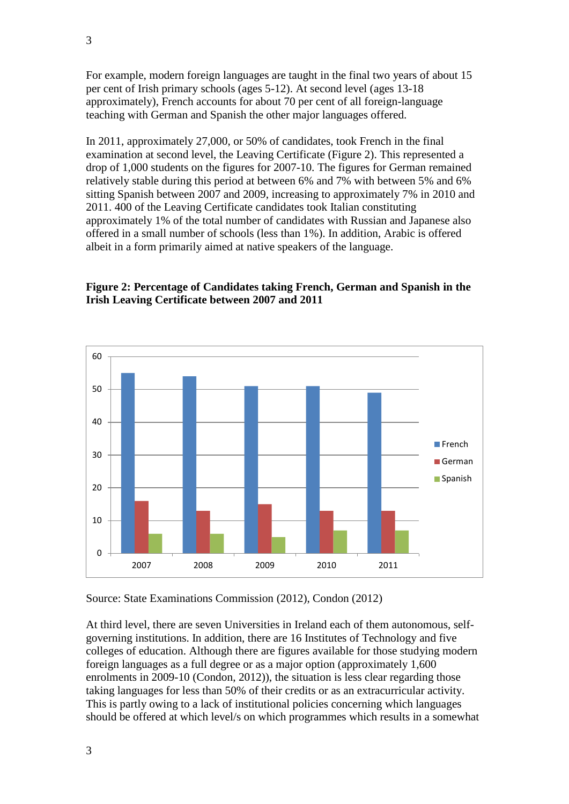For example, modern foreign languages are taught in the final two years of about 15 per cent of Irish primary schools (ages 5-12). At second level (ages 13-18 approximately), French accounts for about 70 per cent of all foreign-language teaching with German and Spanish the other major languages offered.

In 2011, approximately 27,000, or 50% of candidates, took French in the final examination at second level, the Leaving Certificate (Figure 2). This represented a drop of 1,000 students on the figures for 2007-10. The figures for German remained relatively stable during this period at between 6% and 7% with between 5% and 6% sitting Spanish between 2007 and 2009, increasing to approximately 7% in 2010 and 2011. 400 of the Leaving Certificate candidates took Italian constituting approximately 1% of the total number of candidates with Russian and Japanese also offered in a small number of schools (less than 1%). In addition, Arabic is offered albeit in a form primarily aimed at native speakers of the language.

# **Figure 2: Percentage of Candidates taking French, German and Spanish in the Irish Leaving Certificate between 2007 and 2011**



Source: State Examinations Commission (2012), Condon (2012)

At third level, there are seven Universities in Ireland each of them autonomous, selfgoverning institutions. In addition, there are 16 Institutes of Technology and five colleges of education. Although there are figures available for those studying modern foreign languages as a full degree or as a major option (approximately 1,600 enrolments in 2009-10 (Condon, 2012)), the situation is less clear regarding those taking languages for less than 50% of their credits or as an extracurricular activity. This is partly owing to a lack of institutional policies concerning which languages should be offered at which level/s on which programmes which results in a somewhat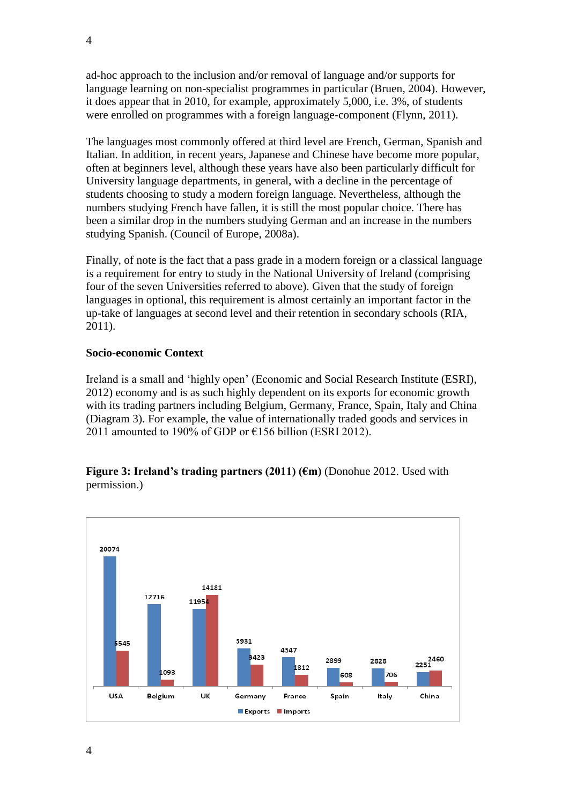ad-hoc approach to the inclusion and/or removal of language and/or supports for language learning on non-specialist programmes in particular (Bruen, 2004). However, it does appear that in 2010, for example, approximately 5,000, i.e. 3%, of students were enrolled on programmes with a foreign language-component (Flynn, 2011).

The languages most commonly offered at third level are French, German, Spanish and Italian. In addition, in recent years, Japanese and Chinese have become more popular, often at beginners level, although these years have also been particularly difficult for University language departments, in general, with a decline in the percentage of students choosing to study a modern foreign language. Nevertheless, although the numbers studying French have fallen, it is still the most popular choice. There has been a similar drop in the numbers studying German and an increase in the numbers studying Spanish. (Council of Europe, 2008a).

Finally, of note is the fact that a pass grade in a modern foreign or a classical language is a requirement for entry to study in the National University of Ireland (comprising four of the seven Universities referred to above). Given that the study of foreign languages in optional, this requirement is almost certainly an important factor in the up-take of languages at second level and their retention in secondary schools (RIA, 2011).

## **Socio-economic Context**

Ireland is a small and 'highly open' (Economic and Social Research Institute (ESRI), 2012) economy and is as such highly dependent on its exports for economic growth with its trading partners including Belgium, Germany, France, Spain, Italy and China (Diagram 3). For example, the value of internationally traded goods and services in 2011 amounted to 190% of GDP or  $E156$  billion (ESRI 2012).

### **Figure 3: Ireland's trading partners (2011) (€m)** (Donohue 2012. Used with permission.)

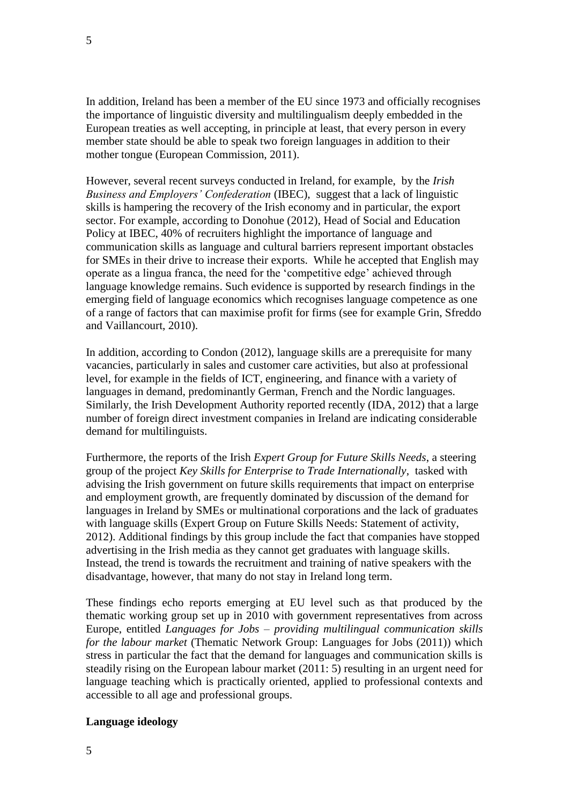In addition, Ireland has been a member of the EU since 1973 and officially recognises the importance of linguistic diversity and multilingualism deeply embedded in the European treaties as well accepting, in principle at least, that every person in every member state should be able to speak two foreign languages in addition to their mother tongue (European Commission, 2011).

However, several recent surveys conducted in Ireland, for example, by the *Irish Business and Employers' Confederation* (IBEC), suggest that a lack of linguistic skills is hampering the recovery of the Irish economy and in particular, the export sector. For example, according to Donohue (2012), Head of Social and Education Policy at IBEC, 40% of recruiters highlight the importance of language and communication skills as language and cultural barriers represent important obstacles for SMEs in their drive to increase their exports. While he accepted that English may operate as a lingua franca, the need for the 'competitive edge' achieved through language knowledge remains. Such evidence is supported by research findings in the emerging field of language economics which recognises language competence as one of a range of factors that can maximise profit for firms (see for example Grin, Sfreddo and Vaillancourt, 2010).

In addition, according to Condon (2012), language skills are a prerequisite for many vacancies, particularly in sales and customer care activities, but also at professional level, for example in the fields of ICT, engineering, and finance with a variety of languages in demand, predominantly German, French and the Nordic languages. Similarly, the Irish Development Authority reported recently (IDA, 2012) that a large number of foreign direct investment companies in Ireland are indicating considerable demand for multilinguists.

Furthermore, the reports of the Irish *Expert Group for Future Skills Needs*, a steering group of the project *Key Skills for Enterprise to Trade Internationally*, tasked with advising the Irish government on future skills requirements that impact on enterprise and employment growth, are frequently dominated by discussion of the demand for languages in Ireland by SMEs or multinational corporations and the lack of graduates with language skills (Expert Group on Future Skills Needs: Statement of activity, 2012). Additional findings by this group include the fact that companies have stopped advertising in the Irish media as they cannot get graduates with language skills. Instead, the trend is towards the recruitment and training of native speakers with the disadvantage, however, that many do not stay in Ireland long term.

These findings echo reports emerging at EU level such as that produced by the thematic working group set up in 2010 with government representatives from across Europe, entitled *Languages for Jobs – providing multilingual communication skills for the labour market* (Thematic Network Group: Languages for Jobs (2011)) which stress in particular the fact that the demand for languages and communication skills is steadily rising on the European labour market (2011: 5) resulting in an urgent need for language teaching which is practically oriented, applied to professional contexts and accessible to all age and professional groups.

## **Language ideology**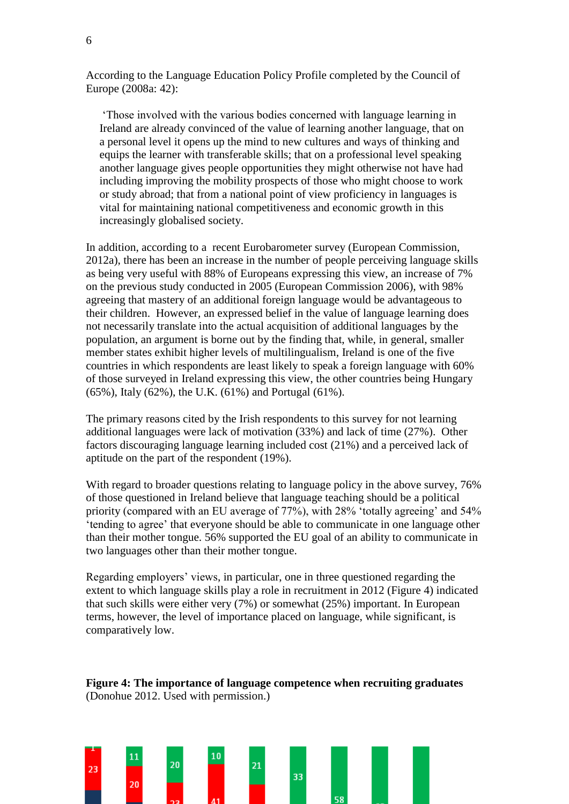According to the Language Education Policy Profile completed by the Council of Europe (2008a: 42):

'Those involved with the various bodies concerned with language learning in Ireland are already convinced of the value of learning another language, that on a personal level it opens up the mind to new cultures and ways of thinking and equips the learner with transferable skills; that on a professional level speaking another language gives people opportunities they might otherwise not have had including improving the mobility prospects of those who might choose to work or study abroad; that from a national point of view proficiency in languages is vital for maintaining national competitiveness and economic growth in this increasingly globalised society.

In addition, according to a recent Eurobarometer survey (European Commission, 2012a), there has been an increase in the number of people perceiving language skills as being very useful with 88% of Europeans expressing this view, an increase of 7% on the previous study conducted in 2005 (European Commission 2006), with 98% agreeing that mastery of an additional foreign language would be advantageous to their children. However, an expressed belief in the value of language learning does not necessarily translate into the actual acquisition of additional languages by the population, an argument is borne out by the finding that, while, in general, smaller member states exhibit higher levels of multilingualism, Ireland is one of the five countries in which respondents are least likely to speak a foreign language with 60% of those surveyed in Ireland expressing this view, the other countries being Hungary (65%), Italy (62%), the U.K. (61%) and Portugal (61%).

The primary reasons cited by the Irish respondents to this survey for not learning additional languages were lack of motivation (33%) and lack of time (27%). Other factors discouraging language learning included cost (21%) and a perceived lack of aptitude on the part of the respondent (19%).

With regard to broader questions relating to language policy in the above survey, 76% of those questioned in Ireland believe that language teaching should be a political priority (compared with an EU average of 77%), with 28% 'totally agreeing' and 54% 'tending to agree' that everyone should be able to communicate in one language other than their mother tongue. 56% supported the EU goal of an ability to communicate in two languages other than their mother tongue.

Regarding employers' views, in particular, one in three questioned regarding the extent to which language skills play a role in recruitment in 2012 (Figure 4) indicated that such skills were either very (7%) or somewhat (25%) important. In European terms, however, the level of importance placed on language, while significant, is comparatively low.



**Figure 4: The importance of language competence when recruiting graduates** (Donohue 2012. Used with permission.)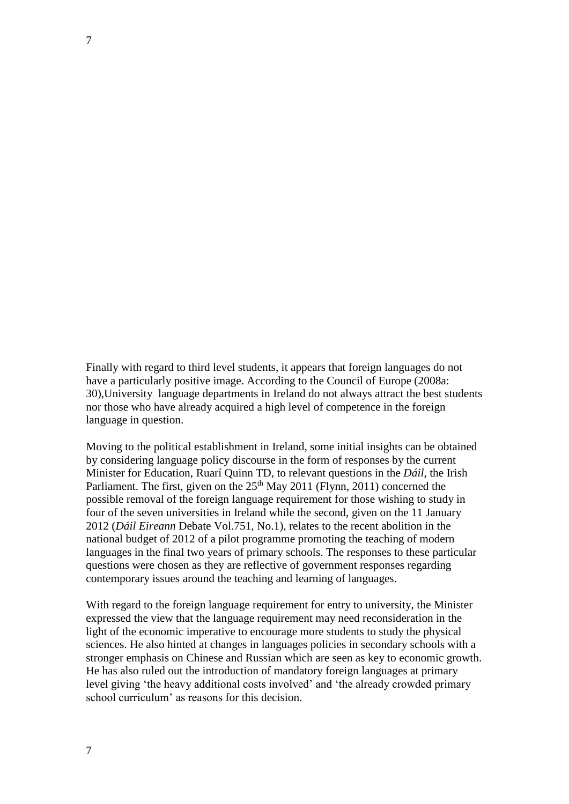Finally with regard to third level students, it appears that foreign languages do not have a particularly positive image. According to the Council of Europe (2008a: 30),University language departments in Ireland do not always attract the best students nor those who have already acquired a high level of competence in the foreign language in question.

Moving to the political establishment in Ireland, some initial insights can be obtained by considering language policy discourse in the form of responses by the current Minister for Education, Ruarí Quinn TD, to relevant questions in the *Dáil*, the Irish Parliament. The first, given on the  $25<sup>th</sup>$  May 2011 (Flynn, 2011) concerned the possible removal of the foreign language requirement for those wishing to study in four of the seven universities in Ireland while the second, given on the 11 January 2012 (*Dáil Eireann* Debate Vol.751, No.1), relates to the recent abolition in the national budget of 2012 of a pilot programme promoting the teaching of modern languages in the final two years of primary schools. The responses to these particular questions were chosen as they are reflective of government responses regarding contemporary issues around the teaching and learning of languages.

With regard to the foreign language requirement for entry to university, the Minister expressed the view that the language requirement may need reconsideration in the light of the economic imperative to encourage more students to study the physical sciences. He also hinted at changes in languages policies in secondary schools with a stronger emphasis on Chinese and Russian which are seen as key to economic growth. He has also ruled out the introduction of mandatory foreign languages at primary level giving 'the heavy additional costs involved' and 'the already crowded primary school curriculum' as reasons for this decision.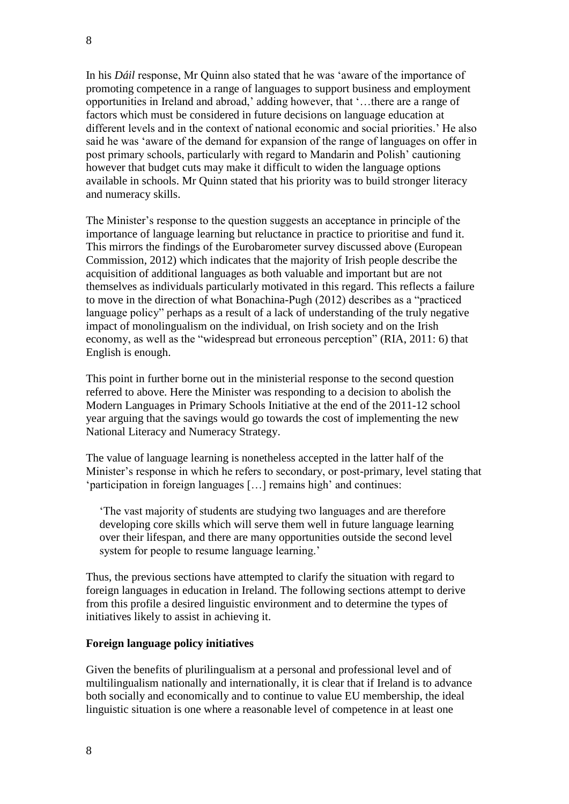In his *Dáil* response, Mr Quinn also stated that he was 'aware of the importance of promoting competence in a range of languages to support business and employment opportunities in Ireland and abroad,' adding however, that '…there are a range of factors which must be considered in future decisions on language education at different levels and in the context of national economic and social priorities.' He also said he was 'aware of the demand for expansion of the range of languages on offer in post primary schools, particularly with regard to Mandarin and Polish' cautioning however that budget cuts may make it difficult to widen the language options available in schools. Mr Quinn stated that his priority was to build stronger literacy and numeracy skills.

The Minister's response to the question suggests an acceptance in principle of the importance of language learning but reluctance in practice to prioritise and fund it. This mirrors the findings of the Eurobarometer survey discussed above (European Commission, 2012) which indicates that the majority of Irish people describe the acquisition of additional languages as both valuable and important but are not themselves as individuals particularly motivated in this regard. This reflects a failure to move in the direction of what Bonachina-Pugh (2012) describes as a "practiced language policy" perhaps as a result of a lack of understanding of the truly negative impact of monolingualism on the individual, on Irish society and on the Irish economy, as well as the "widespread but erroneous perception" (RIA, 2011: 6) that English is enough.

This point in further borne out in the ministerial response to the second question referred to above. Here the Minister was responding to a decision to abolish the Modern Languages in Primary Schools Initiative at the end of the 2011-12 school year arguing that the savings would go towards the cost of implementing the new National Literacy and Numeracy Strategy.

The value of language learning is nonetheless accepted in the latter half of the Minister's response in which he refers to secondary, or post-primary, level stating that 'participation in foreign languages […] remains high' and continues:

'The vast majority of students are studying two languages and are therefore developing core skills which will serve them well in future language learning over their lifespan, and there are many opportunities outside the second level system for people to resume language learning.'

Thus, the previous sections have attempted to clarify the situation with regard to foreign languages in education in Ireland. The following sections attempt to derive from this profile a desired linguistic environment and to determine the types of initiatives likely to assist in achieving it.

## **Foreign language policy initiatives**

Given the benefits of plurilingualism at a personal and professional level and of multilingualism nationally and internationally, it is clear that if Ireland is to advance both socially and economically and to continue to value EU membership, the ideal linguistic situation is one where a reasonable level of competence in at least one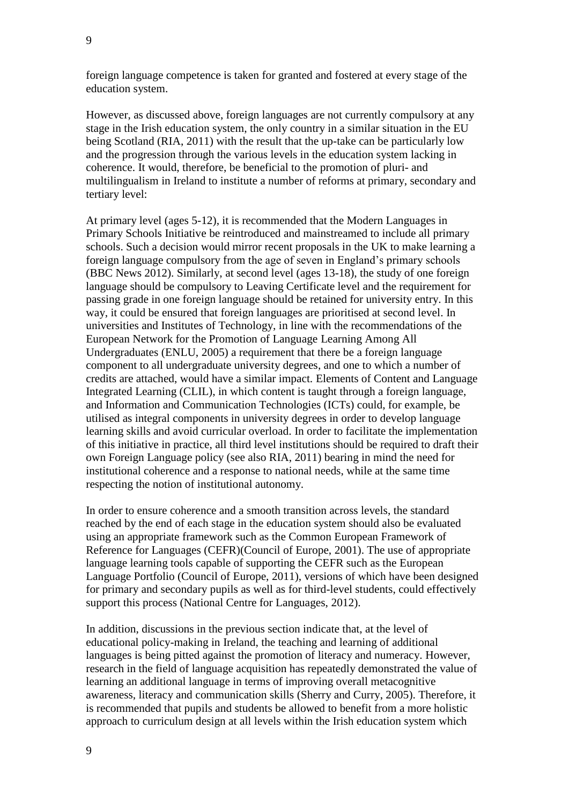foreign language competence is taken for granted and fostered at every stage of the education system.

However, as discussed above, foreign languages are not currently compulsory at any stage in the Irish education system, the only country in a similar situation in the EU being Scotland (RIA, 2011) with the result that the up-take can be particularly low and the progression through the various levels in the education system lacking in coherence. It would, therefore, be beneficial to the promotion of pluri- and multilingualism in Ireland to institute a number of reforms at primary, secondary and tertiary level:

At primary level (ages 5-12), it is recommended that the Modern Languages in Primary Schools Initiative be reintroduced and mainstreamed to include all primary schools. Such a decision would mirror recent proposals in the UK to make learning a foreign language compulsory from the age of seven in England's primary schools (BBC News 2012). Similarly, at second level (ages 13-18), the study of one foreign language should be compulsory to Leaving Certificate level and the requirement for passing grade in one foreign language should be retained for university entry. In this way, it could be ensured that foreign languages are prioritised at second level. In universities and Institutes of Technology, in line with the recommendations of the European Network for the Promotion of Language Learning Among All Undergraduates (ENLU, 2005) a requirement that there be a foreign language component to all undergraduate university degrees, and one to which a number of credits are attached, would have a similar impact. Elements of Content and Language Integrated Learning (CLIL), in which content is taught through a foreign language, and Information and Communication Technologies (ICTs) could, for example, be utilised as integral components in university degrees in order to develop language learning skills and avoid curricular overload. In order to facilitate the implementation of this initiative in practice, all third level institutions should be required to draft their own Foreign Language policy (see also RIA, 2011) bearing in mind the need for institutional coherence and a response to national needs, while at the same time respecting the notion of institutional autonomy.

In order to ensure coherence and a smooth transition across levels, the standard reached by the end of each stage in the education system should also be evaluated using an appropriate framework such as the Common European Framework of Reference for Languages (CEFR)(Council of Europe, 2001). The use of appropriate language learning tools capable of supporting the CEFR such as the European Language Portfolio (Council of Europe, 2011), versions of which have been designed for primary and secondary pupils as well as for third-level students, could effectively support this process (National Centre for Languages, 2012).

In addition, discussions in the previous section indicate that, at the level of educational policy-making in Ireland, the teaching and learning of additional languages is being pitted against the promotion of literacy and numeracy. However, research in the field of language acquisition has repeatedly demonstrated the value of learning an additional language in terms of improving overall metacognitive awareness, literacy and communication skills (Sherry and Curry, 2005). Therefore, it is recommended that pupils and students be allowed to benefit from a more holistic approach to curriculum design at all levels within the Irish education system which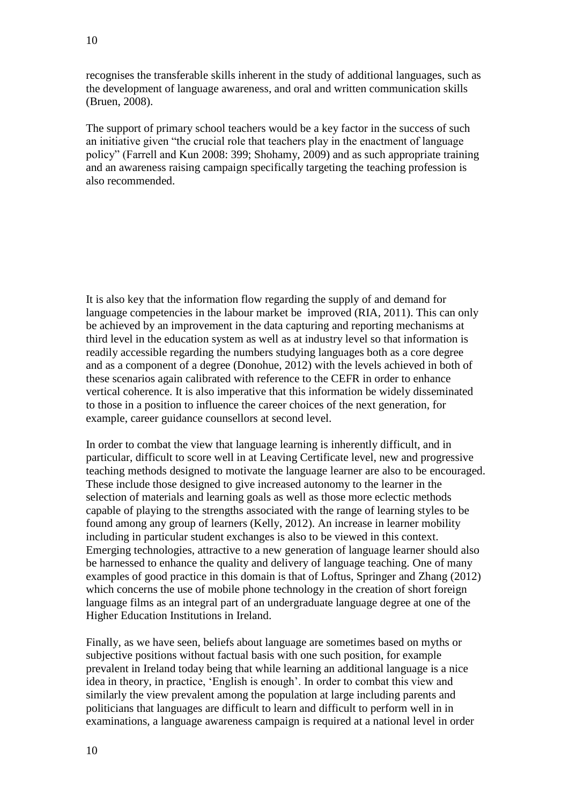recognises the transferable skills inherent in the study of additional languages, such as the development of language awareness, and oral and written communication skills (Bruen, 2008).

The support of primary school teachers would be a key factor in the success of such an initiative given "the crucial role that teachers play in the enactment of language policy" (Farrell and Kun 2008: 399; Shohamy, 2009) and as such appropriate training and an awareness raising campaign specifically targeting the teaching profession is also recommended.

It is also key that the information flow regarding the supply of and demand for language competencies in the labour market be improved (RIA, 2011). This can only be achieved by an improvement in the data capturing and reporting mechanisms at third level in the education system as well as at industry level so that information is readily accessible regarding the numbers studying languages both as a core degree and as a component of a degree (Donohue, 2012) with the levels achieved in both of these scenarios again calibrated with reference to the CEFR in order to enhance vertical coherence. It is also imperative that this information be widely disseminated to those in a position to influence the career choices of the next generation, for example, career guidance counsellors at second level.

In order to combat the view that language learning is inherently difficult, and in particular, difficult to score well in at Leaving Certificate level, new and progressive teaching methods designed to motivate the language learner are also to be encouraged. These include those designed to give increased autonomy to the learner in the selection of materials and learning goals as well as those more eclectic methods capable of playing to the strengths associated with the range of learning styles to be found among any group of learners (Kelly, 2012). An increase in learner mobility including in particular student exchanges is also to be viewed in this context. Emerging technologies, attractive to a new generation of language learner should also be harnessed to enhance the quality and delivery of language teaching. One of many examples of good practice in this domain is that of Loftus, Springer and Zhang (2012) which concerns the use of mobile phone technology in the creation of short foreign language films as an integral part of an undergraduate language degree at one of the Higher Education Institutions in Ireland.

Finally, as we have seen, beliefs about language are sometimes based on myths or subjective positions without factual basis with one such position, for example prevalent in Ireland today being that while learning an additional language is a nice idea in theory, in practice, 'English is enough'. In order to combat this view and similarly the view prevalent among the population at large including parents and politicians that languages are difficult to learn and difficult to perform well in in examinations, a language awareness campaign is required at a national level in order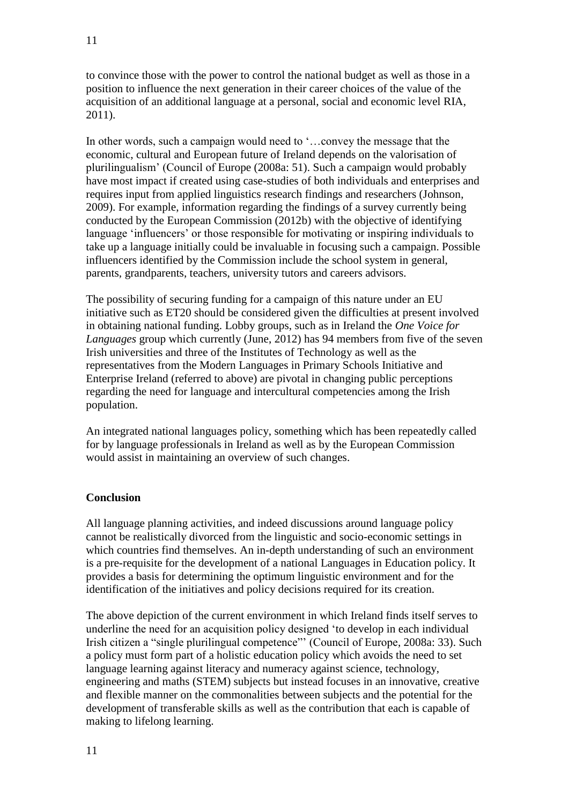to convince those with the power to control the national budget as well as those in a position to influence the next generation in their career choices of the value of the acquisition of an additional language at a personal, social and economic level RIA, 2011).

In other words, such a campaign would need to '...convey the message that the economic, cultural and European future of Ireland depends on the valorisation of plurilingualism' (Council of Europe (2008a: 51). Such a campaign would probably have most impact if created using case-studies of both individuals and enterprises and requires input from applied linguistics research findings and researchers (Johnson, 2009). For example, information regarding the findings of a survey currently being conducted by the European Commission (2012b) with the objective of identifying language 'influencers' or those responsible for motivating or inspiring individuals to take up a language initially could be invaluable in focusing such a campaign. Possible influencers identified by the Commission include the school system in general, parents, grandparents, teachers, university tutors and careers advisors.

The possibility of securing funding for a campaign of this nature under an EU initiative such as ET20 should be considered given the difficulties at present involved in obtaining national funding. Lobby groups, such as in Ireland the *One Voice for Languages* group which currently (June, 2012) has 94 members from five of the seven Irish universities and three of the Institutes of Technology as well as the representatives from the Modern Languages in Primary Schools Initiative and Enterprise Ireland (referred to above) are pivotal in changing public perceptions regarding the need for language and intercultural competencies among the Irish population.

An integrated national languages policy, something which has been repeatedly called for by language professionals in Ireland as well as by the European Commission would assist in maintaining an overview of such changes.

## **Conclusion**

All language planning activities, and indeed discussions around language policy cannot be realistically divorced from the linguistic and socio-economic settings in which countries find themselves. An in-depth understanding of such an environment is a pre-requisite for the development of a national Languages in Education policy. It provides a basis for determining the optimum linguistic environment and for the identification of the initiatives and policy decisions required for its creation.

The above depiction of the current environment in which Ireland finds itself serves to underline the need for an acquisition policy designed 'to develop in each individual Irish citizen a "single plurilingual competence"' (Council of Europe, 2008a: 33). Such a policy must form part of a holistic education policy which avoids the need to set language learning against literacy and numeracy against science, technology, engineering and maths (STEM) subjects but instead focuses in an innovative, creative and flexible manner on the commonalities between subjects and the potential for the development of transferable skills as well as the contribution that each is capable of making to lifelong learning.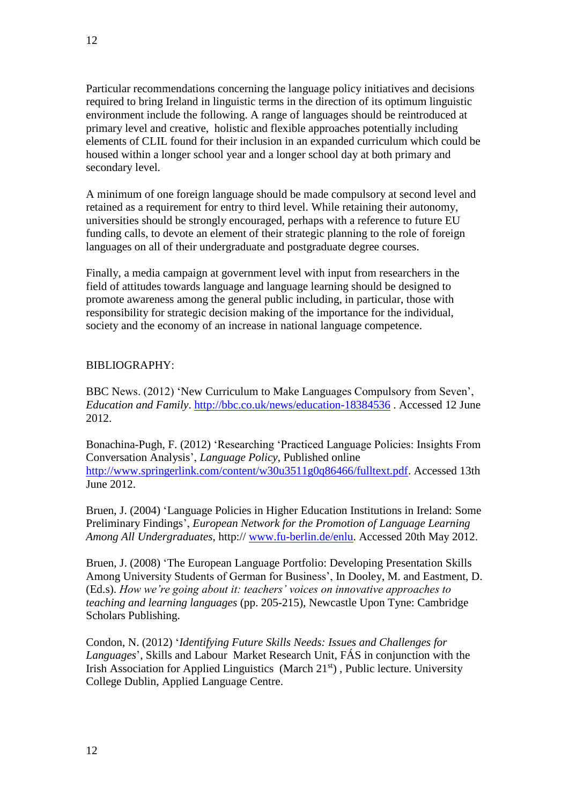Particular recommendations concerning the language policy initiatives and decisions required to bring Ireland in linguistic terms in the direction of its optimum linguistic environment include the following. A range of languages should be reintroduced at primary level and creative, holistic and flexible approaches potentially including elements of CLIL found for their inclusion in an expanded curriculum which could be housed within a longer school year and a longer school day at both primary and secondary level.

A minimum of one foreign language should be made compulsory at second level and retained as a requirement for entry to third level. While retaining their autonomy, universities should be strongly encouraged, perhaps with a reference to future EU funding calls, to devote an element of their strategic planning to the role of foreign languages on all of their undergraduate and postgraduate degree courses.

Finally, a media campaign at government level with input from researchers in the field of attitudes towards language and language learning should be designed to promote awareness among the general public including, in particular, those with responsibility for strategic decision making of the importance for the individual, society and the economy of an increase in national language competence.

## BIBLIOGRAPHY:

BBC News. (2012) 'New Curriculum to Make Languages Compulsory from Seven', *Education and Family*.<http://bbc.co.uk/news/education-18384536> . Accessed 12 June 2012.

Bonachina-Pugh, F. (2012) 'Researching 'Practiced Language Policies: Insights From Conversation Analysis', *Language Policy*, Published online [http://www.springerlink.com/content/w30u3511g0q86466/fulltext.pdf.](http://www.springerlink.com/content/w30u3511g0q86466/fulltext.pdf) Accessed 13th June 2012.

Bruen, J. (2004) 'Language Policies in Higher Education Institutions in Ireland: Some Preliminary Findings', *European Network for the Promotion of Language Learning Among All Undergraduates*, http:// [www.fu-berlin.de/enlu.](http://www.fu-berlin.de/enlu) Accessed 20th May 2012.

Bruen, J. (2008) 'The European Language Portfolio: Developing Presentation Skills Among University Students of German for Business', In Dooley, M. and Eastment, D. (Ed.s). *How we're going about it: teachers' voices on innovative approaches to teaching and learning languages* (pp. 205-215), Newcastle Upon Tyne: Cambridge Scholars Publishing.

Condon, N. (2012) '*Identifying Future Skills Needs: Issues and Challenges for Languages*', Skills and Labour Market Research Unit, FÁS in conjunction with the Irish Association for Applied Linguistics (March  $21<sup>st</sup>$ ), Public lecture. University College Dublin, Applied Language Centre.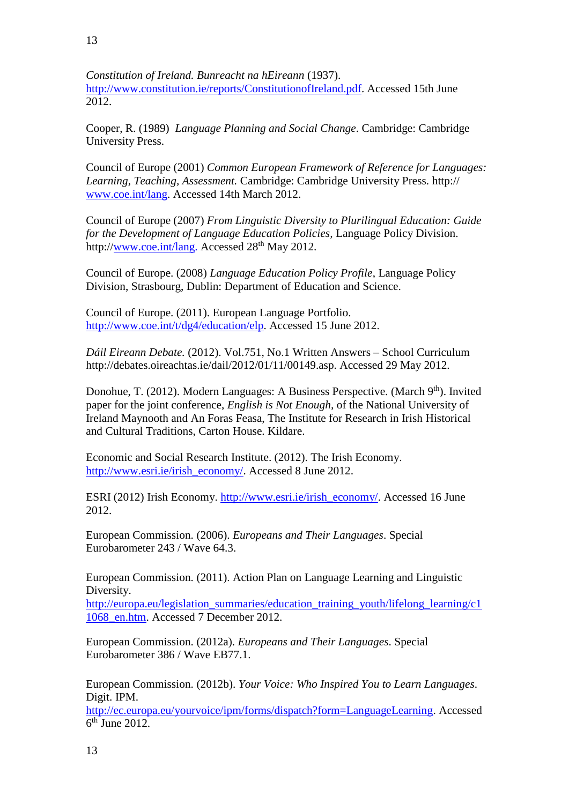*Constitution of Ireland. Bunreacht na hEireann* (1937). [http://www.constitution.ie/reports/ConstitutionofIreland.pdf.](http://www.constitution.ie/reports/ConstitutionofIreland.pdf) Accessed 15th June 2012.

Cooper, R. (1989) *Language Planning and Social Change*. Cambridge: Cambridge University Press.

Council of Europe (2001) *Common European Framework of Reference for Languages: Learning, Teaching, Assessment.* Cambridge: Cambridge University Press. http:// [www.coe.int/lang.](http://www.coe.int/lang) Accessed 14th March 2012.

Council of Europe (2007) *From Linguistic Diversity to Plurilingual Education: Guide for the Development of Language Education Policies,* Language Policy Division. http:/[/www.coe.int/lang.](http://www.coe.int/lang) Accessed 28<sup>th</sup> May 2012.

Council of Europe. (2008) *Language Education Policy Profile*, Language Policy Division, Strasbourg, Dublin: Department of Education and Science.

Council of Europe. (2011). European Language Portfolio. [http://www.coe.int/t/dg4/education/elp.](http://www.coe.int/t/dg4/education/elp) Accessed 15 June 2012.

*Dáil Eireann Debate.* (2012). Vol.751, No.1 Written Answers – School Curriculum http://debates.oireachtas.ie/dail/2012/01/11/00149.asp. Accessed 29 May 2012.

Donohue, T. (2012). Modern Languages: A Business Perspective. (March 9<sup>th</sup>). Invited paper for the joint conference, *English is Not Enough,* of the National University of Ireland Maynooth and An Foras Feasa, The Institute for Research in Irish Historical and Cultural Traditions, Carton House. Kildare.

Economic and Social Research Institute. (2012). The Irish Economy. [http://www.esri.ie/irish\\_economy/.](http://www.esri.ie/irish_economy/) Accessed 8 June 2012.

ESRI (2012) Irish Economy. [http://www.esri.ie/irish\\_economy/.](http://www.esri.ie/irish_economy/) Accessed 16 June 2012.

European Commission. (2006). *Europeans and Their Languages*. Special Eurobarometer 243 / Wave 64.3.

European Commission. (2011). Action Plan on Language Learning and Linguistic Diversity.

[http://europa.eu/legislation\\_summaries/education\\_training\\_youth/lifelong\\_learning/c1](http://europa.eu/legislation_summaries/education_training_youth/lifelong_learning/c11068_en.htm) [1068\\_en.htm.](http://europa.eu/legislation_summaries/education_training_youth/lifelong_learning/c11068_en.htm) Accessed 7 December 2012.

European Commission. (2012a). *Europeans and Their Languages*. Special Eurobarometer 386 / Wave EB77.1.

European Commission. (2012b). *Your Voice: Who Inspired You to Learn Languages*. Digit. IPM.

[http://ec.europa.eu/yourvoice/ipm/forms/dispatch?form=LanguageLearning.](http://ec.europa.eu/yourvoice/ipm/forms/dispatch?form=LanguageLearning) Accessed 6<sup>th</sup> June 2012.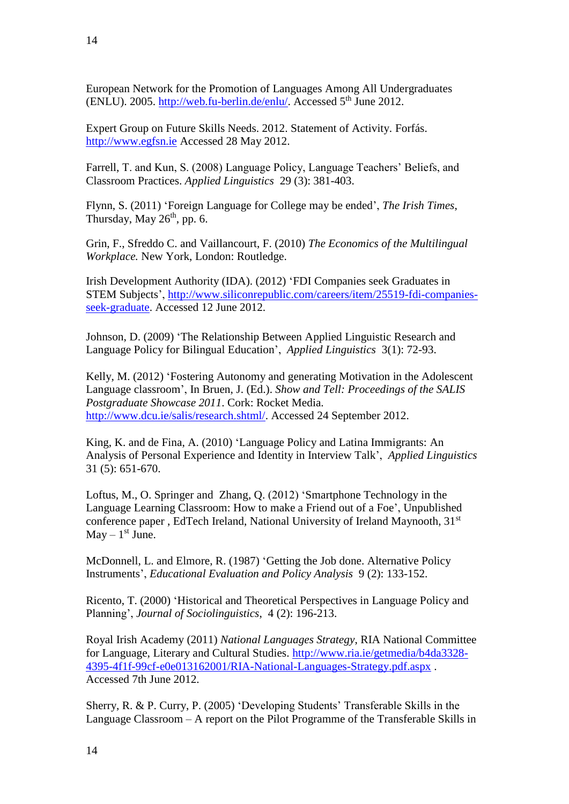European Network for the Promotion of Languages Among All Undergraduates (ENLU). 2005. [http://web.fu-berlin.de/enlu/.](http://web.fu-berlin.de/enlu/) Accessed  $5<sup>th</sup>$  June 2012.

Expert Group on Future Skills Needs. 2012. Statement of Activity. Forfás. [http://www.egfsn.ie](http://www.egfsn.ie/) Accessed 28 May 2012.

Farrell, T. and Kun, S. (2008) Language Policy, Language Teachers' Beliefs, and Classroom Practices. *Applied Linguistics* 29 (3): 381-403.

Flynn, S. (2011) 'Foreign Language for College may be ended', *The Irish Times*, Thursday, May  $26<sup>th</sup>$ , pp. 6.

Grin, F., Sfreddo C. and Vaillancourt, F. (2010) *The Economics of the Multilingual Workplace.* New York, London: Routledge.

Irish Development Authority (IDA). (2012) 'FDI Companies seek Graduates in STEM Subjects', [http://www.siliconrepublic.com/careers/item/25519-fdi-companies](http://www.siliconrepublic.com/careers/item/25519-fdi-companies-seek-graduate)[seek-graduate.](http://www.siliconrepublic.com/careers/item/25519-fdi-companies-seek-graduate) Accessed 12 June 2012.

Johnson, D. (2009) 'The Relationship Between Applied Linguistic Research and Language Policy for Bilingual Education', *Applied Linguistics* 3(1): 72-93.

Kelly, M. (2012) 'Fostering Autonomy and generating Motivation in the Adolescent Language classroom', In Bruen, J. (Ed.). *Show and Tell: Proceedings of the SALIS Postgraduate Showcase 2011*. Cork: Rocket Media. [http://www.dcu.ie/salis/research.shtml/.](http://www.dcu.ie/salis/research.shtml/) Accessed 24 September 2012.

King, K. and de Fina, A. (2010) 'Language Policy and Latina Immigrants: An Analysis of Personal Experience and Identity in Interview Talk', *Applied Linguistics* 31 (5): 651-670.

Loftus, M., O. Springer and Zhang, Q. (2012) 'Smartphone Technology in the Language Learning Classroom: How to make a Friend out of a Foe', Unpublished conference paper, EdTech Ireland, National University of Ireland Maynooth, 31<sup>st</sup>  $May - 1<sup>st</sup> June.$ 

McDonnell, L. and Elmore, R. (1987) 'Getting the Job done. Alternative Policy Instruments', *Educational Evaluation and Policy Analysis* 9 (2): 133-152.

Ricento, T. (2000) 'Historical and Theoretical Perspectives in Language Policy and Planning', *Journal of Sociolinguistics*, 4 (2): 196-213.

Royal Irish Academy (2011) *National Languages Strategy*, RIA National Committee for Language, Literary and Cultural Studies. [http://www.ria.ie/getmedia/b4da3328-](http://www.ria.ie/getmedia/b4da3328-4395-4f1f-99cf-e0e013162001/RIA-National-Languages-Strategy.pdf.aspx) [4395-4f1f-99cf-e0e013162001/RIA-National-Languages-Strategy.pdf.aspx](http://www.ria.ie/getmedia/b4da3328-4395-4f1f-99cf-e0e013162001/RIA-National-Languages-Strategy.pdf.aspx) . Accessed 7th June 2012.

Sherry, R. & P. Curry, P. (2005) 'Developing Students' Transferable Skills in the Language Classroom – A report on the Pilot Programme of the Transferable Skills in